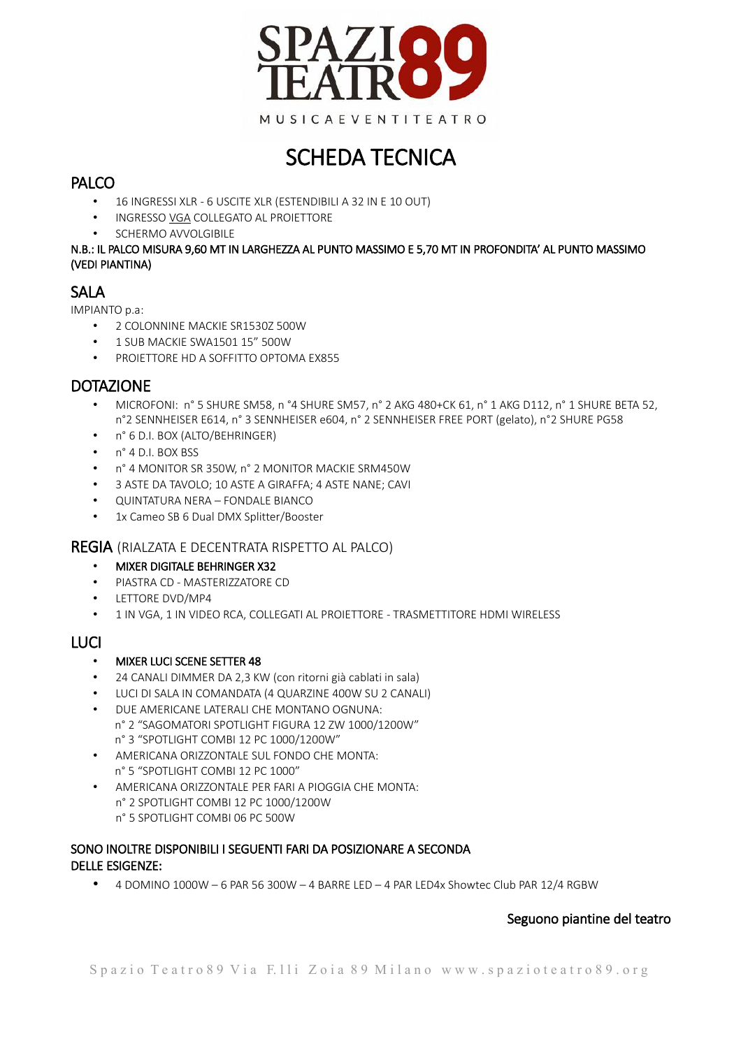

# SCHEDA TECNICA

## PALCO

- 16 INGRESSI XLR 6 USCITE XLR (ESTENDIBILI A 32 IN E 10 OUT)
- INGRESSO VGA COLLEGATO AL PROIETTORE
- SCHERMO AVVOLGIBILE

#### N.B.: IL PALCO MISURA 9,60 MT IN LARGHEZZA AL PUNTO MASSIMO E 5,70 MT IN PROFONDITA' AL PUNTO MASSIMO (VEDI PIANTINA)

## **SALA**

IMPIANTO p.a:

- 2 COLONNINE MACKIE SR1530Z 500W
- 1 SUB MACKIE SWA1501 15" 500W
- PROIETTORE HD A SOFFITTO OPTOMA EX855

## **DOTAZIONE**

- MICROFONI: n° 5 SHURE SM58, n °4 SHURE SM57, n° 2 AKG 480+CK 61, n° 1 AKG D112, n° 1 SHURE BETA 52, n°2 SENNHEISER E614, n° 3 SENNHEISER e604, n° 2 SENNHEISER FREE PORT (gelato), n°2 SHURE PG58
- n° 6 D.I. BOX (ALTO/BEHRINGER)
- n° 4 D.I. BOX BSS
- n° 4 MONITOR SR 350W, n° 2 MONITOR MACKIE SRM450W
- 3 ASTE DA TAVOLO; 10 ASTE A GIRAFFA; 4 ASTE NANE; CAVI
- QUINTATURA NERA FONDALE BIANCO
- 1x Cameo SB 6 Dual DMX Splitter/Booster

### REGIA (RIALZATA E DECENTRATA RISPETTO AL PALCO)

- MIXER DIGITALE BEHRINGER X32
- PIASTRA CD MASTERIZZATORE CD
- LETTORE DVD/MP4
- 1 IN VGA, 1 IN VIDEO RCA, COLLEGATI AL PROIETTORE TRASMETTITORE HDMI WIRELESS

## LUCI

- MIXER LUCI SCENE SETTER 48
- 24 CANALI DIMMER DA 2,3 KW (con ritorni già cablati in sala)
- LUCI DI SALA IN COMANDATA (4 QUARZINE 400W SU 2 CANALI)
- DUE AMERICANE LATERALI CHE MONTANO OGNUNA: n° 2 "SAGOMATORI SPOTLIGHT FIGURA 12 ZW 1000/1200W" n° 3 "SPOTLIGHT COMBI 12 PC 1000/1200W"
- AMERICANA ORIZZONTALE SUL FONDO CHE MONTA: n° 5 "SPOTLIGHT COMBI 12 PC 1000"
- AMERICANA ORIZZONTALE PER FARI A PIOGGIA CHE MONTA: n° 2 SPOTLIGHT COMBI 12 PC 1000/1200W n° 5 SPOTLIGHT COMBI 06 PC 500W

### SONO INOLTRE DISPONIBILI I SEGUENTI FARI DA POSIZIONARE A SECONDA DELLE ESIGENZE:

• 4 DOMINO 1000W – 6 PAR 56 300W – 4 BARRE LED – 4 PAR LED4x Showtec Club PAR 12/4 RGBW

### Seguono piantine del teatro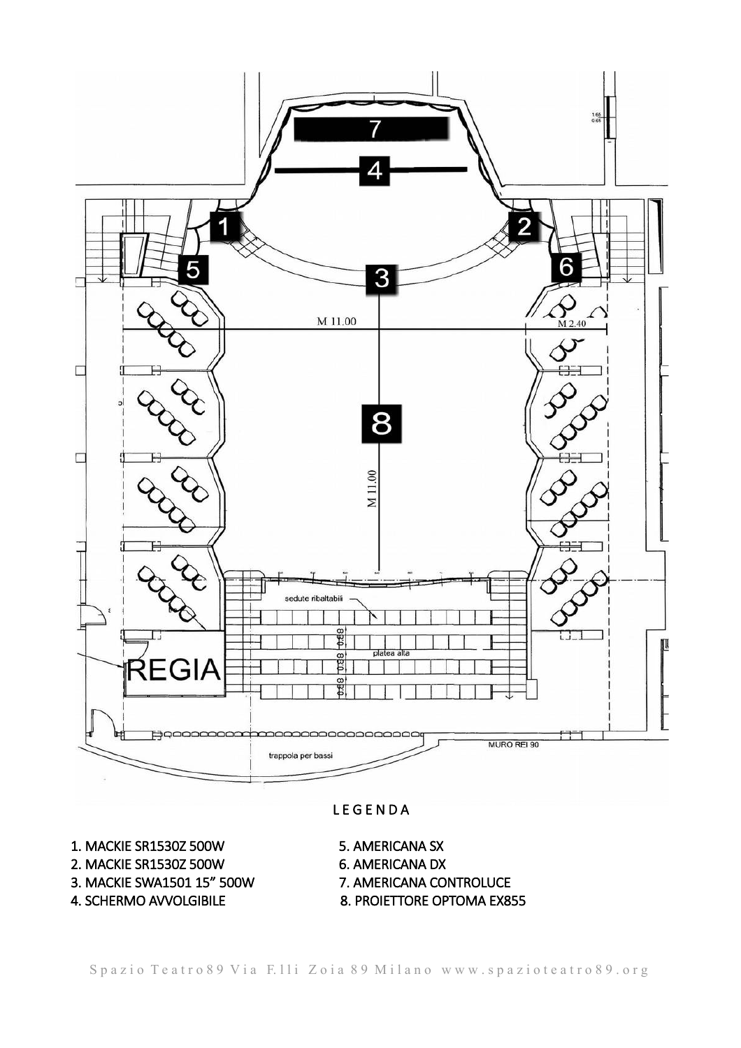

#### **LEGENDA**

- 1. MACKIE SR1530Z 500W 5. AMERICANA SX
- 2. MACKIE SR1530Z 500W 6. AMERICANA DX
- 3. MACKIE SWA1501 15" 500W 7. AMERICANA CONTROLUCE
- 
- 
- 
- 
- 4. SCHERMO AVVOLGIBILE 8. PROIETTORE OPTOMA EX855